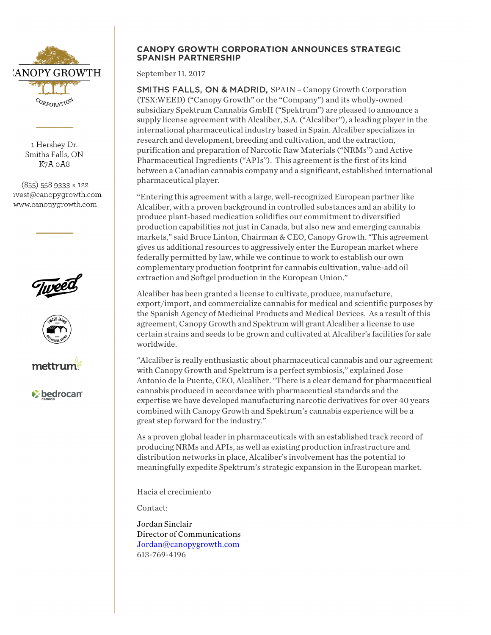

1 Hershey Dr. Smiths Falls, ON K7A oA8

(855) 558 9333 x 122 ivest@canopygrowth.com www.canopygrowth.com







*v* bedrocan

# **CANOPY GROWTH CORPORATION ANNOUNCES STRATEGIC SPANISH PARTNERSHIP**

September 11, 2017

SMITHS FALLS, ON & MADRID, SPAIN – Canopy Growth Corporation (TSX:WEED) ("Canopy Growth" or the "Company") and its wholly-owned subsidiary Spektrum Cannabis GmbH ("Spektrum") are pleased to announce a supply license agreement with Alcaliber, S.A. ("Alcaliber"), a leading player in the international pharmaceutical industry based in Spain. Alcaliber specializes in research and development, breeding and cultivation, and the extraction, purification and preparation of Narcotic Raw Materials ("NRMs") and Active Pharmaceutical Ingredients ("APIs"). This agreement is the first of its kind between a Canadian cannabis company and a significant, established international pharmaceutical player.

"Entering this agreement with a large, well-recognized European partner like Alcaliber, with a proven background in controlled substances and an ability to produce plant-based medication solidifies our commitment to diversified production capabilities not just in Canada, but also new and emerging cannabis markets," said Bruce Linton, Chairman & CEO, Canopy Growth. "This agreement gives us additional resources to aggressively enter the European market where federally permitted by law, while we continue to work to establish our own complementary production footprint for cannabis cultivation, value-add oil extraction and Softgel production in the European Union."

Alcaliber has been granted a license to cultivate, produce, manufacture, export/import, and commercialize cannabis for medical and scientific purposes by the Spanish Agency of Medicinal Products and Medical Devices. As a result of this agreement, Canopy Growth and Spektrum will grant Alcaliber a license to use certain strains and seeds to be grown and cultivated at Alcaliber's facilities for sale worldwide.

"Alcaliber is really enthusiastic about pharmaceutical cannabis and our agreement with Canopy Growth and Spektrum is a perfect symbiosis," explained Jose Antonio de la Puente, CEO, Alcaliber. "There is a clear demand for pharmaceutical cannabis produced in accordance with pharmaceutical standards and the expertise we have developed manufacturing narcotic derivatives for over 40 years combined with Canopy Growth and Spektrum's cannabis experience will be a great step forward for the industry."

As a proven global leader in pharmaceuticals with an established track record of producing NRMs and APIs, as well as existing production infrastructure and distribution networks in place, Alcaliber's involvement has the potential to meaningfully expedite Spektrum's strategic expansion in the European market.

Hacia el crecimiento

Contact:

Jordan Sinclair Director of Communications Jordan@canopygrowth.com 613-769-4196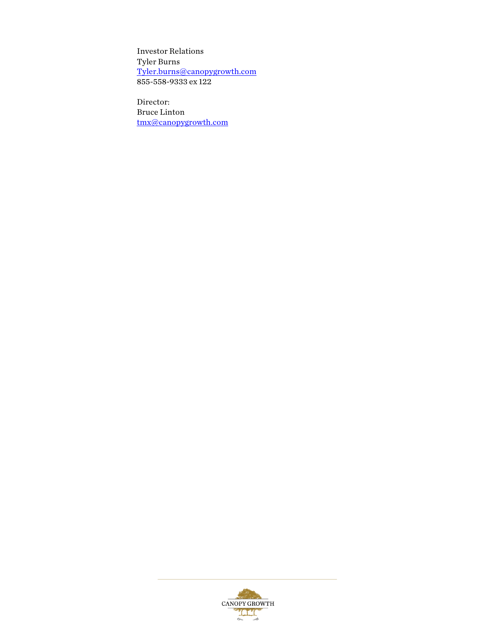Investor Relations Tyler Burns Tyler.burns@canopygrowth.com 855-558-9333 ex 122

Director: Bruce Linton tmx@canopygrowth.com